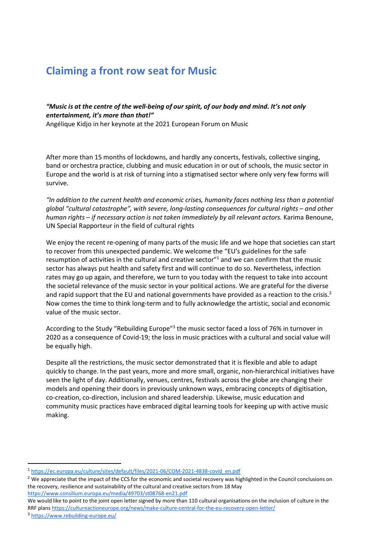# Claiming a front row seat for Music

"Music is at the centre of the well-being of our spirit, of our body and mind. It's not only entertainment, it's more than that!"

Angélique Kidjo in her keynote at the 2021 European Forum on Music

After more than 15 months of lockdowns, and hardly any concerts, festivals, collective singing, band or orchestra practice, clubbing and music education in or out of schools, the music sector in Europe and the world is at risk of turning into a stigmatised sector where only very few forms will survive.

"In addition to the current health and economic crises, humanity faces nothing less than a potential global "cultural catastrophe", with severe, long-lasting consequences for cultural rights – and other human rights – if necessary action is not taken immediately by all relevant actors. Karima Benoune, UN Special Rapporteur in the field of cultural rights

We enjoy the recent re-opening of many parts of the music life and we hope that societies can start to recover from this unexpected pandemic. We welcome the "EU's guidelines for the safe resumption of activities in the cultural and creative sector"<sup>1</sup> and we can confirm that the music sector has always put health and safety first and will continue to do so. Nevertheless, infection rates may go up again, and therefore, we turn to you today with the request to take into account the societal relevance of the music sector in your political actions. We are grateful for the diverse and rapid support that the EU and national governments have provided as a reaction to the crisis.<sup>2</sup> Now comes the time to think long-term and to fully acknowledge the artistic, social and economic value of the music sector.

According to the Study "Rebuilding Europe"<sup>3</sup> the music sector faced a loss of 76% in turnover in 2020 as a consequence of Covid-19; the loss in music practices with a cultural and social value will be equally high.

Despite all the restrictions, the music sector demonstrated that it is flexible and able to adapt quickly to change. In the past years, more and more small, organic, non-hierarchical initiatives have seen the light of day. Additionally, venues, centres, festivals across the globe are changing their models and opening their doors in previously unknown ways, embracing concepts of digitisation, co-creation, co-direction, inclusion and shared leadership. Likewise, music education and community music practices have embraced digital learning tools for keeping up with active music making.

<sup>1</sup> https://ec.europa.eu/culture/sites/default/files/2021-06/COM-2021-4838-covid\_en.pdf

<sup>&</sup>lt;sup>2</sup> We appreciate that the impact of the CCS for the economic and societal recovery was highlighted in the Council conclusions on the recovery, resilience and sustainability of the cultural and creative sectors from 18 May https://www.consilium.europa.eu/media/49703/st08768-en21.pdf

We would like to point to the joint open letter signed by more than 110 cultural organisations on the inclusion of culture in the RRF plans https://cultureactioneurope.org/news/make-culture-central-for-the-eu-recovery-open-letter/

<sup>3</sup> https://www.rebuilding-europe.eu/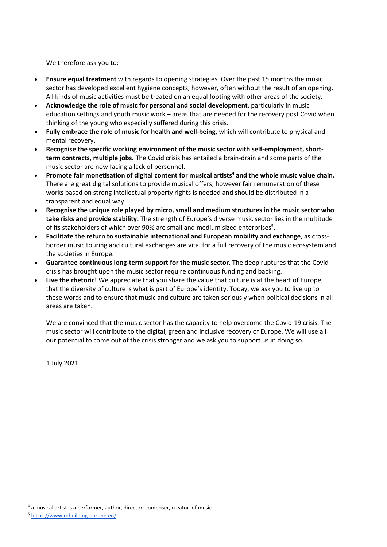We therefore ask you to:

- Ensure equal treatment with regards to opening strategies. Over the past 15 months the music sector has developed excellent hygiene concepts, however, often without the result of an opening. All kinds of music activities must be treated on an equal footing with other areas of the society.
- Acknowledge the role of music for personal and social development, particularly in music education settings and youth music work – areas that are needed for the recovery post Covid when thinking of the young who especially suffered during this crisis.
- Fully embrace the role of music for health and well-being, which will contribute to physical and mental recovery.
- Recognise the specific working environment of the music sector with self-employment, shortterm contracts, multiple jobs. The Covid crisis has entailed a brain-drain and some parts of the music sector are now facing a lack of personnel.
- Promote fair monetisation of digital content for musical artists<sup>4</sup> and the whole music value chain. There are great digital solutions to provide musical offers, however fair remuneration of these works based on strong intellectual property rights is needed and should be distributed in a transparent and equal way.
- Recognise the unique role played by micro, small and medium structures in the music sector who take risks and provide stability. The strength of Europe's diverse music sector lies in the multitude of its stakeholders of which over 90% are small and medium sized enterprises<sup>5</sup>.
- Facilitate the return to sustainable international and European mobility and exchange, as crossborder music touring and cultural exchanges are vital for a full recovery of the music ecosystem and the societies in Europe.
- Guarantee continuous long-term support for the music sector. The deep ruptures that the Covid crisis has brought upon the music sector require continuous funding and backing.
- Live the rhetoric! We appreciate that you share the value that culture is at the heart of Europe, that the diversity of culture is what is part of Europe's identity. Today, we ask you to live up to these words and to ensure that music and culture are taken seriously when political decisions in all areas are taken.

We are convinced that the music sector has the capacity to help overcome the Covid-19 crisis. The music sector will contribute to the digital, green and inclusive recovery of Europe. We will use all our potential to come out of the crisis stronger and we ask you to support us in doing so.

1 July 2021

<sup>4</sup> a musical artist is a performer, author, director, composer, creator of music

<sup>5</sup> https://www.rebuilding-europe.eu/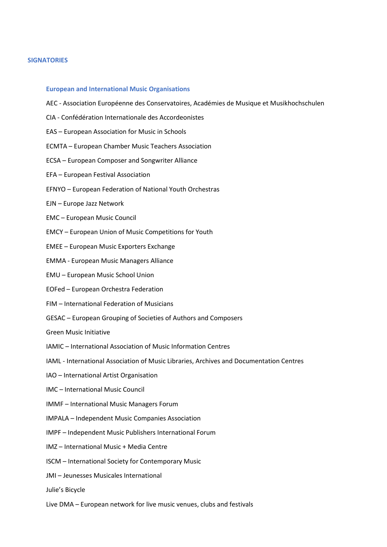#### **SIGNATORIES**

#### European and International Music Organisations

- AEC Association Européenne des Conservatoires, Académies de Musique et Musikhochschulen
- CIA Confédération Internationale des Accordeonistes
- EAS European Association for Music in Schools
- ECMTA European Chamber Music Teachers Association
- ECSA European Composer and Songwriter Alliance
- EFA European Festival Association
- EFNYO European Federation of National Youth Orchestras
- EJN Europe Jazz Network
- EMC European Music Council
- EMCY European Union of Music Competitions for Youth
- EMEE European Music Exporters Exchange
- EMMA European Music Managers Alliance
- EMU European Music School Union
- EOFed European Orchestra Federation
- FIM International Federation of Musicians
- GESAC European Grouping of Societies of Authors and Composers
- Green Music Initiative
- IAMIC International Association of Music Information Centres
- IAML International Association of Music Libraries, Archives and Documentation Centres
- IAO International Artist Organisation
- IMC International Music Council
- IMMF International Music Managers Forum
- IMPALA Independent Music Companies Association
- IMPF Independent Music Publishers International Forum
- IMZ International Music + Media Centre
- ISCM International Society for Contemporary Music
- JMI Jeunesses Musicales International
- Julie's Bicycle
- Live DMA European network for live music venues, clubs and festivals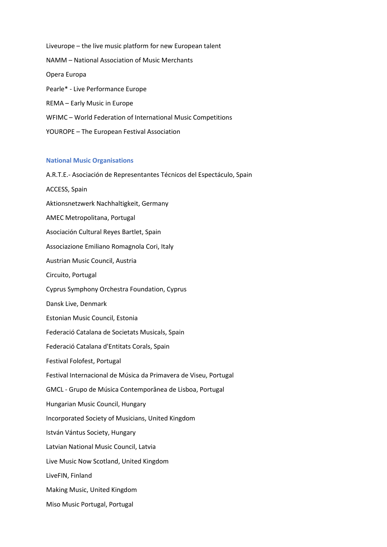Liveurope – the live music platform for new European talent NAMM – National Association of Music Merchants Opera Europa Pearle\* - Live Performance Europe REMA – Early Music in Europe WFIMC – World Federation of International Music Competitions YOUROPE – The European Festival Association

### National Music Organisations

A.R.T.E.- Asociación de Representantes Técnicos del Espectáculo, Spain ACCESS, Spain Aktionsnetzwerk Nachhaltigkeit, Germany AMEC Metropolitana, Portugal Asociación Cultural Reyes Bartlet, Spain Associazione Emiliano Romagnola Cori, Italy Austrian Music Council, Austria Circuito, Portugal Cyprus Symphony Orchestra Foundation, Cyprus Dansk Live, Denmark Estonian Music Council, Estonia Federació Catalana de Societats Musicals, Spain Federació Catalana d'Entitats Corals, Spain Festival Folofest, Portugal Festival Internacional de Música da Primavera de Viseu, Portugal GMCL - Grupo de Música Contemporânea de Lisboa, Portugal Hungarian Music Council, Hungary Incorporated Society of Musicians, United Kingdom István Vántus Society, Hungary Latvian National Music Council, Latvia Live Music Now Scotland, United Kingdom LiveFIN, Finland Making Music, United Kingdom Miso Music Portugal, Portugal